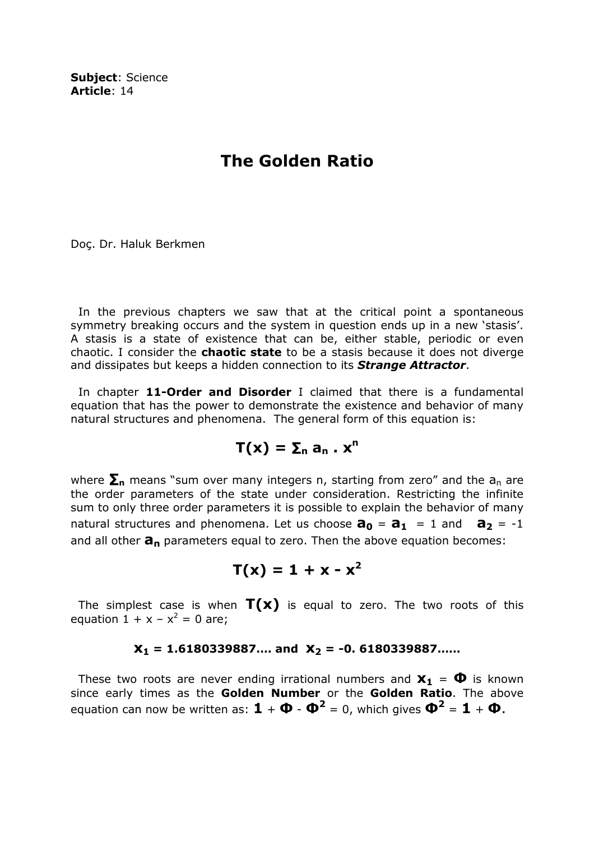Subject: Science Article: 14

## The Golden Ratio

Doç. Dr. Haluk Berkmen

 In the previous chapters we saw that at the critical point a spontaneous symmetry breaking occurs and the system in question ends up in a new 'stasis'. A stasis is a state of existence that can be, either stable, periodic or even chaotic. I consider the **chaotic state** to be a stasis because it does not diverge and dissipates but keeps a hidden connection to its **Strange Attractor**.

In chapter 11-Order and Disorder I claimed that there is a fundamental equation that has the power to demonstrate the existence and behavior of many natural structures and phenomena. The general form of this equation is:

$$
T(x) = \Sigma_n a_n . x^n
$$

where  $\Sigma_n$  means "sum over many integers n, starting from zero" and the  $a_n$  are the order parameters of the state under consideration. Restricting the infinite sum to only three order parameters it is possible to explain the behavior of many natural structures and phenomena. Let us choose  $\mathbf{a_0} = \mathbf{a_1} = 1$  and  $\mathbf{a_2} = -1$ and all other  $a_n$  parameters equal to zero. Then the above equation becomes:

$$
T(x) = 1 + x - x^2
$$

The simplest case is when  $T(x)$  is equal to zero. The two roots of this equation  $1 + x - x^2 = 0$  are;

## $X_1 = 1.6180339887...$  and  $X_2 = -0.6180339887...$

These two roots are never ending irrational numbers and  $x_1 = \Phi$  is known since early times as the Golden Number or the Golden Ratio. The above equation can now be written as:  $\bm{1} + \bm{\Phi}$  -  $\bm{\Phi}^2 = 0$ , which gives  $\bm{\Phi}^2 = \bm{1} + \bm{\Phi}$ .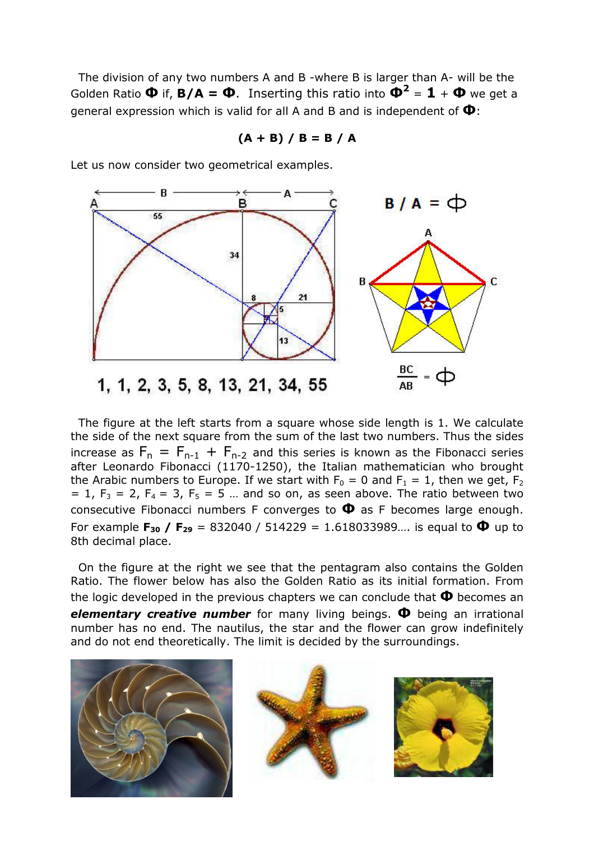The division of any two numbers A and B -where B is larger than A- will be the Golden Ratio  $\Phi$  if,  $B/A = \Phi$ . Inserting this ratio into  $\Phi^2 = \mathbf{1} + \Phi$  we get a general expression which is valid for all A and B and is independent of  $\Phi$ :

- B A  $B/A = \Phi$ в 55 34  $\overline{c}$ R  $21$  $\frac{BC}{AB}$  =  $\oint$ 1, 1, 2, 3, 5, 8, 13, 21, 34, 55

 $(A + B) / B = B / A$ 

Let us now consider two geometrical examples.

 The figure at the left starts from a square whose side length is 1. We calculate the side of the next square from the sum of the last two numbers. Thus the sides increase as  $F_n = F_{n-1} + F_{n-2}$  and this series is known as the Fibonacci series after Leonardo Fibonacci (1170-1250), the Italian mathematician who brought the Arabic numbers to Europe. If we start with  $F_0 = 0$  and  $F_1 = 1$ , then we get,  $F_2$  $= 1$ ,  $F_3 = 2$ ,  $F_4 = 3$ ,  $F_5 = 5$  ... and so on, as seen above. The ratio between two consecutive Fibonacci numbers F converges to  $\Phi$  as F becomes large enough. For example  $F_{30}$  /  $F_{29}$  = 832040 / 514229 = 1.618033989.... is equal to  $\Phi$  up to 8th decimal place.

 On the figure at the right we see that the pentagram also contains the Golden Ratio. The flower below has also the Golden Ratio as its initial formation. From the logic developed in the previous chapters we can conclude that  $\Phi$  becomes an elementary creative number for many living beings.  $\Phi$  being an irrational number has no end. The nautilus, the star and the flower can grow indefinitely and do not end theoretically. The limit is decided by the surroundings.